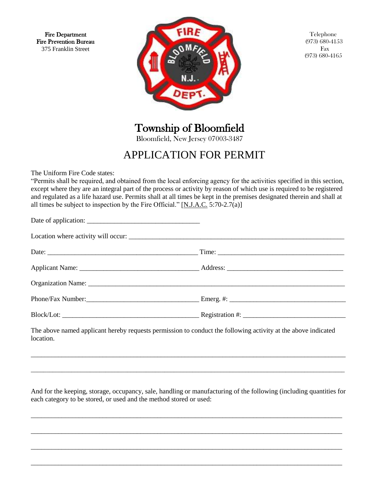Fire Department Fire Prevention Bureau 375 Franklin Street



Telephone (973) 680-4153 Fax (973) 680-4165

Township of Bloomfield

Bloomfield, New Jersey 07003-3487

# APPLICATION FOR PERMIT

The Uniform Fire Code states:

Ĭ.

"Permits shall be required, and obtained from the local enforcing agency for the activities specified in this section, except where they are an integral part of the process or activity by reason of which use is required to be registered and regulated as a life hazard use. Permits shall at all times be kept in the premises designated therein and shall at all times be subject to inspection by the Fire Official."  $[N.J.A.C. 5:70-2.7(a)]$ 

| $Block/Lot:$ $\qquad \qquad$ $\qquad \qquad$ $\qquad \qquad$ $\qquad \qquad$ $\qquad$ $\qquad \qquad$ $\qquad \qquad$ $\qquad \qquad$ $\qquad \qquad$ $\qquad \qquad$ $\qquad \qquad$ $\qquad \qquad$ $\qquad \qquad$ $\qquad$ $\qquad \qquad$ $\qquad \qquad$ $\qquad \qquad$ $\qquad$ $\qquad$ $\qquad$ $\qquad$ $\qquad$ $\qquad$ $\qquad$ $\qquad$ $\qquad$ $\qquad$ $\qquad$ |
|-----------------------------------------------------------------------------------------------------------------------------------------------------------------------------------------------------------------------------------------------------------------------------------------------------------------------------------------------------------------------------------|
|                                                                                                                                                                                                                                                                                                                                                                                   |

The above named applicant hereby requests permission to conduct the following activity at the above indicated location.

And for the keeping, storage, occupancy, sale, handling or manufacturing of the following (including quantities for each category to be stored, or used and the method stored or used:

\_\_\_\_\_\_\_\_\_\_\_\_\_\_\_\_\_\_\_\_\_\_\_\_\_\_\_\_\_\_\_\_\_\_\_\_\_\_\_\_\_\_\_\_\_\_\_\_\_\_\_\_\_\_\_\_\_\_\_\_\_\_\_\_\_\_\_\_\_\_\_\_\_\_\_\_\_\_\_\_\_\_\_\_\_\_\_\_\_\_\_

\_\_\_\_\_\_\_\_\_\_\_\_\_\_\_\_\_\_\_\_\_\_\_\_\_\_\_\_\_\_\_\_\_\_\_\_\_\_\_\_\_\_\_\_\_\_\_\_\_\_\_\_\_\_\_\_\_\_\_\_\_\_\_\_\_\_\_\_\_\_\_\_\_\_\_\_\_\_\_\_\_\_\_\_\_\_\_\_\_\_\_

\_\_\_\_\_\_\_\_\_\_\_\_\_\_\_\_\_\_\_\_\_\_\_\_\_\_\_\_\_\_\_\_\_\_\_\_\_\_\_\_\_\_\_\_\_\_\_\_\_\_\_\_\_\_\_\_\_\_\_\_\_\_\_\_\_\_\_\_\_\_\_\_\_\_\_\_\_\_\_\_\_\_\_\_\_\_\_\_\_\_\_

\_\_\_\_\_\_\_\_\_\_\_\_\_\_\_\_\_\_\_\_\_\_\_\_\_\_\_\_\_\_\_\_\_\_\_\_\_\_\_\_\_\_\_\_\_\_\_\_\_\_\_\_\_\_\_\_\_\_\_\_\_\_\_\_\_\_\_\_\_\_\_\_\_\_\_\_\_\_\_\_\_\_\_\_\_\_\_\_\_\_\_

\_\_\_\_\_\_\_\_\_\_\_\_\_\_\_\_\_\_\_\_\_\_\_\_\_\_\_\_\_\_\_\_\_\_\_\_\_\_\_\_\_\_\_\_\_\_\_\_\_\_\_\_\_\_\_\_\_\_\_\_\_\_\_\_\_\_\_\_\_\_\_\_\_\_\_\_\_\_\_\_\_\_\_\_\_\_\_\_\_\_\_\_

\_\_\_\_\_\_\_\_\_\_\_\_\_\_\_\_\_\_\_\_\_\_\_\_\_\_\_\_\_\_\_\_\_\_\_\_\_\_\_\_\_\_\_\_\_\_\_\_\_\_\_\_\_\_\_\_\_\_\_\_\_\_\_\_\_\_\_\_\_\_\_\_\_\_\_\_\_\_\_\_\_\_\_\_\_\_\_\_\_\_\_\_\_\_\_\_\_\_\_\_\_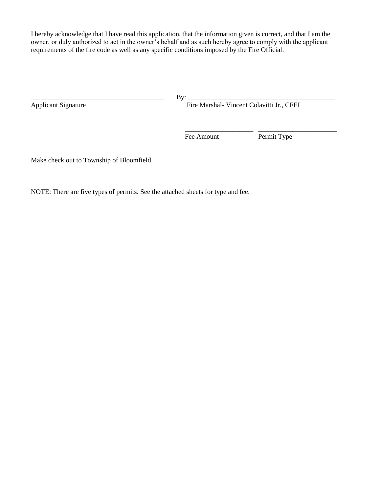I hereby acknowledge that I have read this application, that the information given is correct, and that I am the owner, or duly authorized to act in the owner's behalf and as such hereby agree to comply with the applicant requirements of the fire code as well as any specific conditions imposed by the Fire Official.

 $\frac{1}{2}$  , and the contract of the contract of the contract of the contract of the contract of the contract of the contract of the contract of the contract of the contract of the contract of the contract of the contract

\_\_\_\_\_\_\_\_\_\_\_\_\_\_\_\_\_\_\_\_\_\_\_\_\_\_\_\_\_\_\_\_\_\_\_\_\_\_\_ By: \_\_\_\_\_\_\_\_\_\_\_\_\_\_\_\_\_\_\_\_\_\_\_\_\_\_\_\_\_\_\_\_\_\_\_\_\_\_\_\_\_\_\_ Fire Marshal- Vincent Colavitti Jr., CFEI

Fee Amount Permit Type

Make check out to Township of Bloomfield.

NOTE: There are five types of permits. See the attached sheets for type and fee.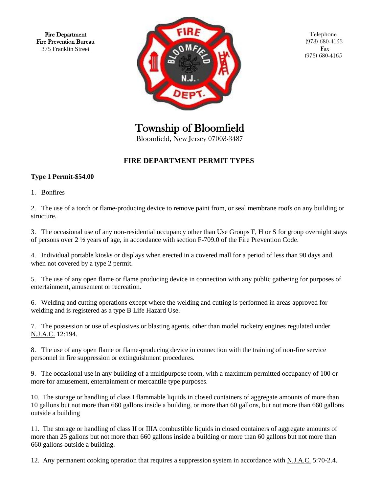Fire Department Fire Prevention Bureau 375 Franklin Street



Telephone (973) 680-4153 Fax (973) 680-4165

Township of Bloomfield

Bloomfield, New Jersey 07003-3487

## **FIRE DEPARTMENT PERMIT TYPES**

#### **Type 1 Permit-\$54.00**

1. Bonfires

2. The use of a torch or flame-producing device to remove paint from, or seal membrane roofs on any building or structure.

3. The occasional use of any non-residential occupancy other than Use Groups F, H or S for group overnight stays of persons over 2 ½ years of age, in accordance with section F-709.0 of the Fire Prevention Code.

4. Individual portable kiosks or displays when erected in a covered mall for a period of less than 90 days and when not covered by a type 2 permit.

5. The use of any open flame or flame producing device in connection with any public gathering for purposes of entertainment, amusement or recreation.

6. Welding and cutting operations except where the welding and cutting is performed in areas approved for welding and is registered as a type B Life Hazard Use.

7. The possession or use of explosives or blasting agents, other than model rocketry engines regulated under N.J.A.C. 12:194.

8. The use of any open flame or flame-producing device in connection with the training of non-fire service personnel in fire suppression or extinguishment procedures.

9. The occasional use in any building of a multipurpose room, with a maximum permitted occupancy of 100 or more for amusement, entertainment or mercantile type purposes.

10. The storage or handling of class I flammable liquids in closed containers of aggregate amounts of more than 10 gallons but not more than 660 gallons inside a building, or more than 60 gallons, but not more than 660 gallons outside a building

11. The storage or handling of class II or IIIA combustible liquids in closed containers of aggregate amounts of more than 25 gallons but not more than 660 gallons inside a building or more than 60 gallons but not more than 660 gallons outside a building.

12. Any permanent cooking operation that requires a suppression system in accordance with N.J.A.C. 5:70-2.4.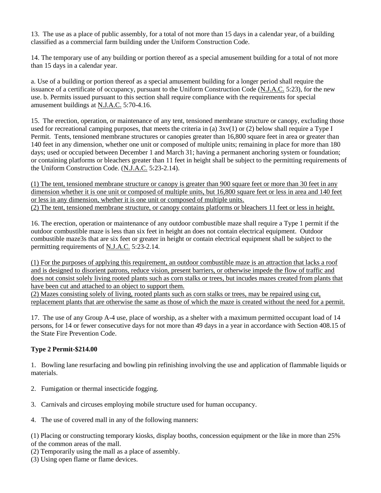13. The use as a place of public assembly, for a total of not more than 15 days in a calendar year, of a building classified as a commercial farm building under the Uniform Construction Code.

14. The temporary use of any building or portion thereof as a special amusement building for a total of not more than 15 days in a calendar year.

a. Use of a building or portion thereof as a special amusement building for a longer period shall require the issuance of a certificate of occupancy, pursuant to the Uniform Construction Code (N.J.A.C. 5:23), for the new use. b. Permits issued pursuant to this section shall require compliance with the requirements for special amusement buildings at N.J.A.C. 5:70-4.16.

15. The erection, operation, or maintenance of any tent, tensioned membrane structure or canopy, excluding those used for recreational camping purposes, that meets the criteria in (a) 3xv(1) or (2) below shall require a Type I Permit. Tents, tensioned membrane structures or canopies greater than 16,800 square feet in area or greater than 140 feet in any dimension, whether one unit or composed of multiple units; remaining in place for more than 180 days; used or occupied between December 1 and March 31; having a permanent anchoring system or foundation; or containing platforms or bleachers greater than 11 feet in height shall be subject to the permitting requirements of the Uniform Construction Code. (N.J.A.C. 5:23-2.14).

(1) The tent, tensioned membrane structure or canopy is greater than 900 square feet or more than 30 feet in any dimension whether it is one unit or composed of multiple units, but 16,800 square feet or less in area and 140 feet or less in any dimension, whether it is one unit or composed of multiple units. (2) The tent, tensioned membrane structure, or canopy contains platforms or bleachers 11 feet or less in height.

16. The erection, operation or maintenance of any outdoor combustible maze shall require a Type 1 permit if the outdoor combustible maze is less than six feet in height an does not contain electrical equipment. Outdoor combustible maze3s that are six feet or greater in height or contain electrical equipment shall be subject to the permitting requirements of N.J.A.C. 5:23-2.14.

(1) For the purposes of applying this requirement, an outdoor combustible maze is an attraction that lacks a roof and is designed to disorient patrons, reduce vision, present barriers, or otherwise impede the flow of traffic and does not consist solely living rooted plants such as corn stalks or trees, but incudes mazes created from plants that have been cut and attached to an object to support them.

(2) Mazes consisting solely of living, rooted plants such as corn stalks or trees, may be repaired using cut, replacement plants that are otherwise the same as those of which the maze is created without the need for a permit.

17. The use of any Group A-4 use, place of worship, as a shelter with a maximum permitted occupant load of 14 persons, for 14 or fewer consecutive days for not more than 49 days in a year in accordance with Section 408.15 of the State Fire Prevention Code.

#### **Type 2 Permit-\$214.00**

1. Bowling lane resurfacing and bowling pin refinishing involving the use and application of flammable liquids or materials.

- 2. Fumigation or thermal insecticide fogging.
- 3. Carnivals and circuses employing mobile structure used for human occupancy.
- 4. The use of covered mall in any of the following manners:

(1) Placing or constructing temporary kiosks, display booths, concession equipment or the like in more than 25% of the common areas of the mall.

- (2) Temporarily using the mall as a place of assembly.
- (3) Using open flame or flame devices.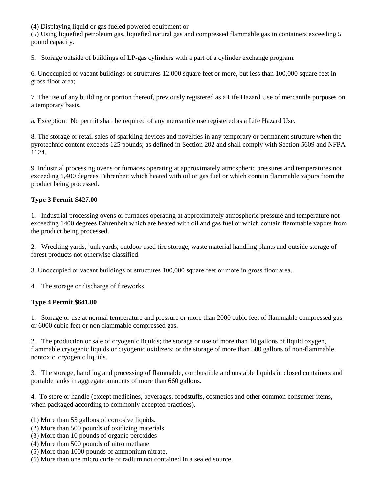(4) Displaying liquid or gas fueled powered equipment or

(5) Using liquefied petroleum gas, liquefied natural gas and compressed flammable gas in containers exceeding 5 pound capacity.

5. Storage outside of buildings of LP-gas cylinders with a part of a cylinder exchange program.

6. Unoccupied or vacant buildings or structures 12.000 square feet or more, but less than 100,000 square feet in gross floor area;

7. The use of any building or portion thereof, previously registered as a Life Hazard Use of mercantile purposes on a temporary basis.

a. Exception: No permit shall be required of any mercantile use registered as a Life Hazard Use.

8. The storage or retail sales of sparkling devices and novelties in any temporary or permanent structure when the pyrotechnic content exceeds 125 pounds; as defined in Section 202 and shall comply with Section 5609 and NFPA 1124.

9. Industrial processing ovens or furnaces operating at approximately atmospheric pressures and temperatures not exceeding 1,400 degrees Fahrenheit which heated with oil or gas fuel or which contain flammable vapors from the product being processed.

#### **Type 3 Permit-\$427.00**

1. Industrial processing ovens or furnaces operating at approximately atmospheric pressure and temperature not exceeding 1400 degrees Fahrenheit which are heated with oil and gas fuel or which contain flammable vapors from the product being processed.

2. Wrecking yards, junk yards, outdoor used tire storage, waste material handling plants and outside storage of forest products not otherwise classified.

3. Unoccupied or vacant buildings or structures 100,000 square feet or more in gross floor area.

4. The storage or discharge of fireworks.

#### **Type 4 Permit \$641.00**

1. Storage or use at normal temperature and pressure or more than 2000 cubic feet of flammable compressed gas or 6000 cubic feet or non-flammable compressed gas.

2. The production or sale of cryogenic liquids; the storage or use of more than 10 gallons of liquid oxygen, flammable cryogenic liquids or cryogenic oxidizers; or the storage of more than 500 gallons of non-flammable, nontoxic, cryogenic liquids.

3. The storage, handling and processing of flammable, combustible and unstable liquids in closed containers and portable tanks in aggregate amounts of more than 660 gallons.

4. To store or handle (except medicines, beverages, foodstuffs, cosmetics and other common consumer items, when packaged according to commonly accepted practices).

- (1) More than 55 gallons of corrosive liquids.
- (2) More than 500 pounds of oxidizing materials.
- (3) More than 10 pounds of organic peroxides
- (4) More than 500 pounds of nitro methane
- (5) More than 1000 pounds of ammonium nitrate.
- (6) More than one micro curie of radium not contained in a sealed source.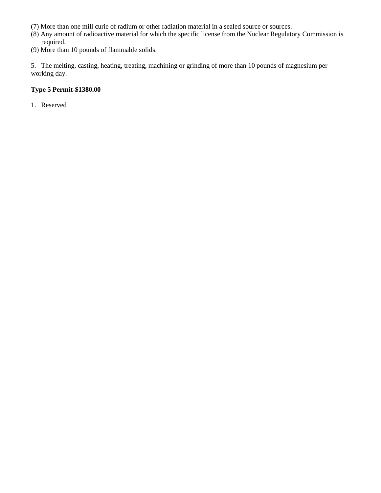- (7) More than one mill curie of radium or other radiation material in a sealed source or sources.
- (8) Any amount of radioactive material for which the specific license from the Nuclear Regulatory Commission is required.
- (9) More than 10 pounds of flammable solids.

5. The melting, casting, heating, treating, machining or grinding of more than 10 pounds of magnesium per working day.

#### **Type 5 Permit-\$1380.00**

1. Reserved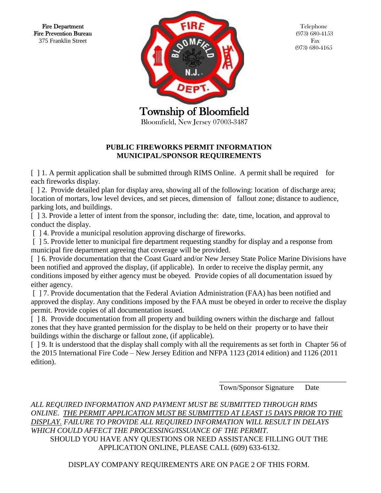Fire Department Fire Prevention Bureau 375 Franklin Street



Telephone (973) 680-4153 Fax (973) 680-4165

#### **PUBLIC FIREWORKS PERMIT INFORMATION MUNICIPAL/SPONSOR REQUIREMENTS**

[ ] 1. A permit application shall be submitted through RIMS Online. A permit shall be required for each fireworks display.

[  $\vert$  2. Provide detailed plan for display area, showing all of the following: location of discharge area; location of mortars, low level devices, and set pieces, dimension of fallout zone; distance to audience, parking lots, and buildings.

[ ] 3. Provide a letter of intent from the sponsor, including the: date, time, location, and approval to conduct the display.

[ ] 4. Provide a municipal resolution approving discharge of fireworks.

[ ] 5. Provide letter to municipal fire department requesting standby for display and a response from municipal fire department agreeing that coverage will be provided.

[ ] 6. Provide documentation that the Coast Guard and/or New Jersey State Police Marine Divisions have been notified and approved the display, (if applicable). In order to receive the display permit, any conditions imposed by either agency must be obeyed. Provide copies of all documentation issued by either agency.

[ ] 7. Provide documentation that the Federal Aviation Administration (FAA) has been notified and approved the display. Any conditions imposed by the FAA must be obeyed in order to receive the display permit. Provide copies of all documentation issued.

[  $\vert$  8. Provide documentation from all property and building owners within the discharge and fallout zones that they have granted permission for the display to be held on their property or to have their buildings within the discharge or fallout zone, (if applicable).

[ ] 9. It is understood that the display shall comply with all the requirements as set forth in Chapter 56 of the 2015 International Fire Code – New Jersey Edition and NFPA 1123 (2014 edition) and 1126 (2011 edition).

 $\overline{\phantom{a}}$  , and the contract of the contract of the contract of the contract of the contract of the contract of the contract of the contract of the contract of the contract of the contract of the contract of the contrac

Town/Sponsor Signature Date

*ALL REQUIRED INFORMATION AND PAYMENT MUST BE SUBMITTED THROUGH RIMS ONLINE. THE PERMIT APPLICATION MUST BE SUBMITTED AT LEAST 15 DAYS PRIOR TO THE DISPLAY. FAILURE TO PROVIDE ALL REQUIRED INFORMATION WILL RESULT IN DELAYS WHICH COULD AFFECT THE PROCESSING/ISSUANCE OF THE PERMIT.*  SHOULD YOU HAVE ANY QUESTIONS OR NEED ASSISTANCE FILLING OUT THE APPLICATION ONLINE, PLEASE CALL (609) 633-6132.

DISPLAY COMPANY REQUIREMENTS ARE ON PAGE 2 OF THIS FORM.